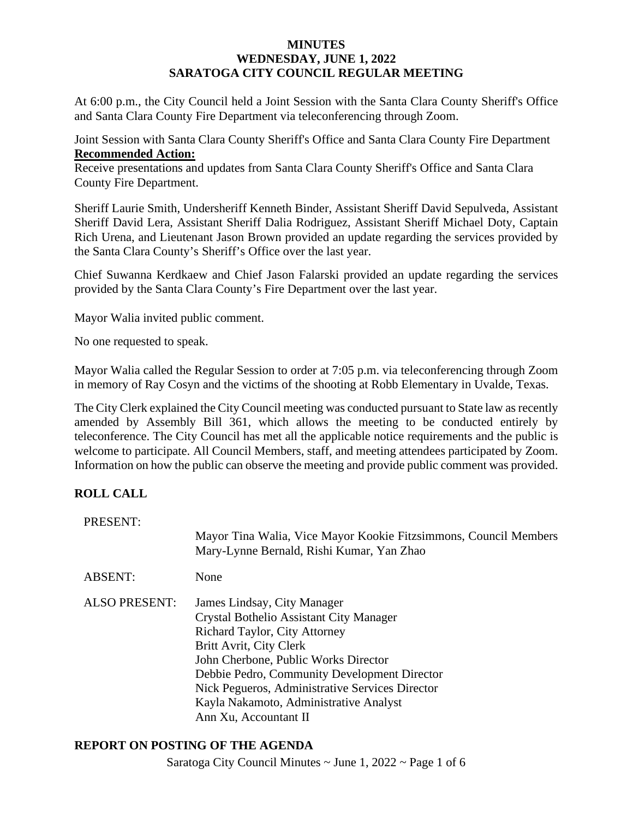#### **MINUTES WEDNESDAY, JUNE 1, 2022 SARATOGA CITY COUNCIL REGULAR MEETING**

At 6:00 p.m., the City Council held a Joint Session with the Santa Clara County Sheriff's Office and Santa Clara County Fire Department via teleconferencing through Zoom.

Joint Session with Santa Clara County Sheriff's Office and Santa Clara County Fire Department **Recommended Action:**

Receive presentations and updates from Santa Clara County Sheriff's Office and Santa Clara County Fire Department.

Sheriff Laurie Smith, Undersheriff Kenneth Binder, Assistant Sheriff David Sepulveda, Assistant Sheriff David Lera, Assistant Sheriff Dalia Rodriguez, Assistant Sheriff Michael Doty, Captain Rich Urena, and Lieutenant Jason Brown provided an update regarding the services provided by the Santa Clara County's Sheriff's Office over the last year.

Chief Suwanna Kerdkaew and Chief Jason Falarski provided an update regarding the services provided by the Santa Clara County's Fire Department over the last year.

Mayor Walia invited public comment.

No one requested to speak.

Mayor Walia called the Regular Session to order at 7:05 p.m. via teleconferencing through Zoom in memory of Ray Cosyn and the victims of the shooting at Robb Elementary in Uvalde, Texas.

The City Clerk explained the City Council meeting was conducted pursuant to State law asrecently amended by Assembly Bill 361, which allows the meeting to be conducted entirely by teleconference. The City Council has met all the applicable notice requirements and the public is welcome to participate. All Council Members, staff, and meeting attendees participated by Zoom. Information on how the public can observe the meeting and provide public comment was provided.

# **ROLL CALL**

| PRESENT:             | Mayor Tina Walia, Vice Mayor Kookie Fitzsimmons, Council Members<br>Mary-Lynne Bernald, Rishi Kumar, Yan Zhao                                                                                                                                                                                                                                           |
|----------------------|---------------------------------------------------------------------------------------------------------------------------------------------------------------------------------------------------------------------------------------------------------------------------------------------------------------------------------------------------------|
| <b>ABSENT:</b>       | None                                                                                                                                                                                                                                                                                                                                                    |
| <b>ALSO PRESENT:</b> | James Lindsay, City Manager<br>Crystal Bothelio Assistant City Manager<br><b>Richard Taylor, City Attorney</b><br>Britt Avrit, City Clerk<br>John Cherbone, Public Works Director<br>Debbie Pedro, Community Development Director<br>Nick Pegueros, Administrative Services Director<br>Kayla Nakamoto, Administrative Analyst<br>Ann Xu, Accountant II |

#### **REPORT ON POSTING OF THE AGENDA**

Saratoga City Council Minutes  $\sim$  June 1, 2022  $\sim$  Page 1 of 6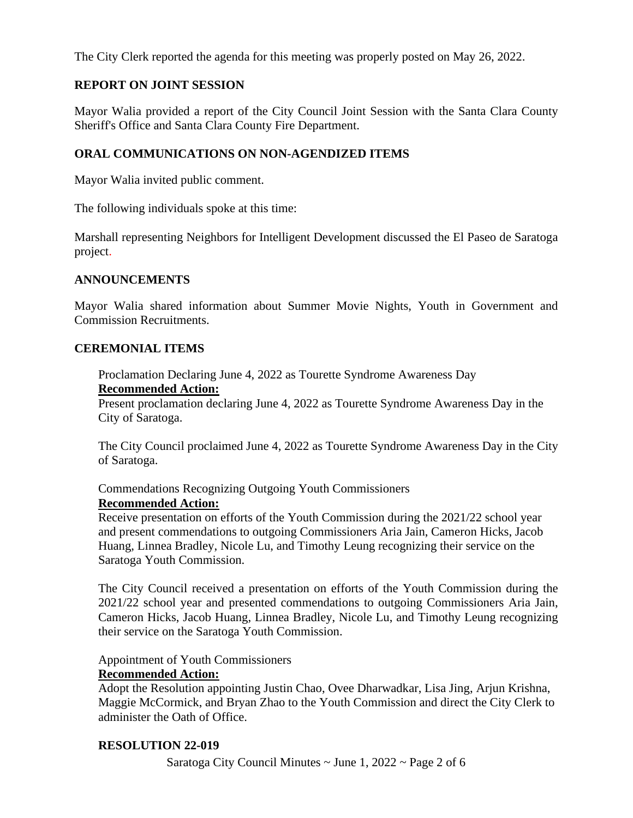The City Clerk reported the agenda for this meeting was properly posted on May 26, 2022.

# **REPORT ON JOINT SESSION**

Mayor Walia provided a report of the City Council Joint Session with the Santa Clara County Sheriff's Office and Santa Clara County Fire Department.

#### **ORAL COMMUNICATIONS ON NON-AGENDIZED ITEMS**

Mayor Walia invited public comment.

The following individuals spoke at this time:

Marshall representing Neighbors for Intelligent Development discussed the El Paseo de Saratoga project.

#### **ANNOUNCEMENTS**

Mayor Walia shared information about Summer Movie Nights, Youth in Government and Commission Recruitments.

#### **CEREMONIAL ITEMS**

Proclamation Declaring June 4, 2022 as Tourette Syndrome Awareness Day **Recommended Action:**

Present proclamation declaring June 4, 2022 as Tourette Syndrome Awareness Day in the City of Saratoga.

The City Council proclaimed June 4, 2022 as Tourette Syndrome Awareness Day in the City of Saratoga.

Commendations Recognizing Outgoing Youth Commissioners

#### **Recommended Action:**

Receive presentation on efforts of the Youth Commission during the 2021/22 school year and present commendations to outgoing Commissioners Aria Jain, Cameron Hicks, Jacob Huang, Linnea Bradley, Nicole Lu, and Timothy Leung recognizing their service on the Saratoga Youth Commission.

The City Council received a presentation on efforts of the Youth Commission during the 2021/22 school year and presented commendations to outgoing Commissioners Aria Jain, Cameron Hicks, Jacob Huang, Linnea Bradley, Nicole Lu, and Timothy Leung recognizing their service on the Saratoga Youth Commission.

Appointment of Youth Commissioners

#### **Recommended Action:**

Adopt the Resolution appointing Justin Chao, Ovee Dharwadkar, Lisa Jing, Arjun Krishna, Maggie McCormick, and Bryan Zhao to the Youth Commission and direct the City Clerk to administer the Oath of Office.

#### **RESOLUTION 22-019**

Saratoga City Council Minutes  $\sim$  June 1, 2022  $\sim$  Page 2 of 6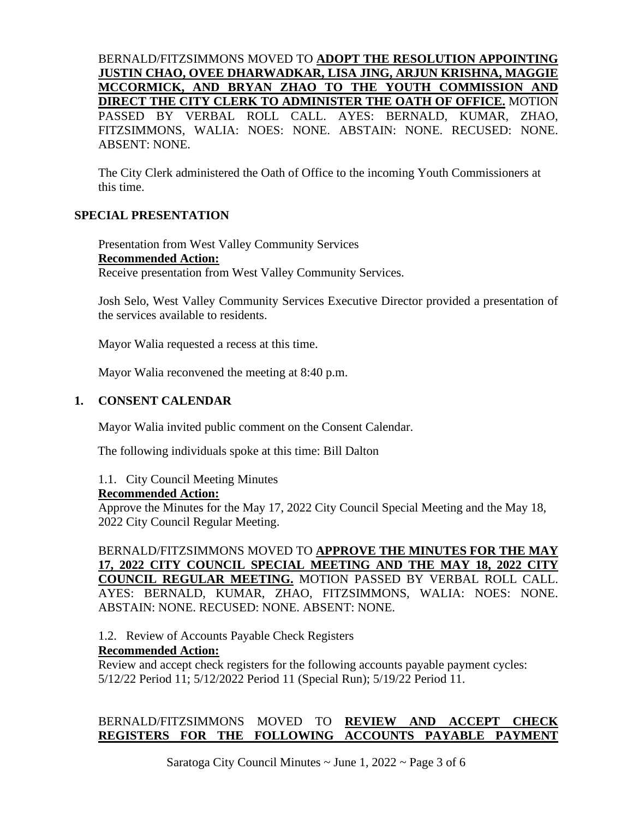# BERNALD/FITZSIMMONS MOVED TO **ADOPT THE RESOLUTION APPOINTING JUSTIN CHAO, OVEE DHARWADKAR, LISA JING, ARJUN KRISHNA, MAGGIE MCCORMICK, AND BRYAN ZHAO TO THE YOUTH COMMISSION AND DIRECT THE CITY CLERK TO ADMINISTER THE OATH OF OFFICE.** MOTION PASSED BY VERBAL ROLL CALL. AYES: BERNALD, KUMAR, ZHAO, FITZSIMMONS, WALIA: NOES: NONE. ABSTAIN: NONE. RECUSED: NONE. ABSENT: NONE.

The City Clerk administered the Oath of Office to the incoming Youth Commissioners at this time.

# **SPECIAL PRESENTATION**

Presentation from West Valley Community Services **Recommended Action:** Receive presentation from West Valley Community Services.

Josh Selo, West Valley Community Services Executive Director provided a presentation of the services available to residents.

Mayor Walia requested a recess at this time.

Mayor Walia reconvened the meeting at 8:40 p.m.

#### **1. CONSENT CALENDAR**

Mayor Walia invited public comment on the Consent Calendar.

The following individuals spoke at this time: Bill Dalton

1.1. City Council Meeting Minutes

#### **Recommended Action:**

Approve the Minutes for the May 17, 2022 City Council Special Meeting and the May 18, 2022 City Council Regular Meeting.

# BERNALD/FITZSIMMONS MOVED TO **APPROVE THE MINUTES FOR THE MAY 17, 2022 CITY COUNCIL SPECIAL MEETING AND THE MAY 18, 2022 CITY COUNCIL REGULAR MEETING.** MOTION PASSED BY VERBAL ROLL CALL. AYES: BERNALD, KUMAR, ZHAO, FITZSIMMONS, WALIA: NOES: NONE. ABSTAIN: NONE. RECUSED: NONE. ABSENT: NONE.

1.2. Review of Accounts Payable Check Registers

#### **Recommended Action:**

Review and accept check registers for the following accounts payable payment cycles: 5/12/22 Period 11; 5/12/2022 Period 11 (Special Run); 5/19/22 Period 11.

# BERNALD/FITZSIMMONS MOVED TO **REVIEW AND ACCEPT CHECK REGISTERS FOR THE FOLLOWING ACCOUNTS PAYABLE PAYMENT**

Saratoga City Council Minutes  $\sim$  June 1, 2022  $\sim$  Page 3 of 6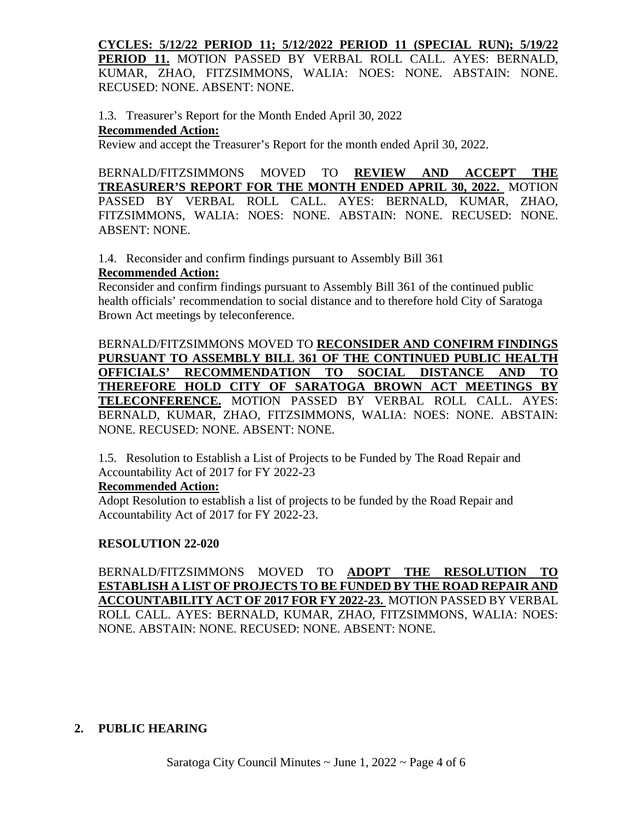**CYCLES: 5/12/22 PERIOD 11; 5/12/2022 PERIOD 11 (SPECIAL RUN); 5/19/22 PERIOD 11.** MOTION PASSED BY VERBAL ROLL CALL. AYES: BERNALD, KUMAR, ZHAO, FITZSIMMONS, WALIA: NOES: NONE. ABSTAIN: NONE. RECUSED: NONE. ABSENT: NONE.

1.3. Treasurer's Report for the Month Ended April 30, 2022 **Recommended Action:**

Review and accept the Treasurer's Report for the month ended April 30, 2022.

BERNALD/FITZSIMMONS MOVED TO **REVIEW AND ACCEPT THE TREASURER'S REPORT FOR THE MONTH ENDED APRIL 30, 2022.** MOTION PASSED BY VERBAL ROLL CALL. AYES: BERNALD, KUMAR, ZHAO, FITZSIMMONS, WALIA: NOES: NONE. ABSTAIN: NONE. RECUSED: NONE. ABSENT: NONE.

1.4. Reconsider and confirm findings pursuant to Assembly Bill 361

# **Recommended Action:**

Reconsider and confirm findings pursuant to Assembly Bill 361 of the continued public health officials' recommendation to social distance and to therefore hold City of Saratoga Brown Act meetings by teleconference.

BERNALD/FITZSIMMONS MOVED TO **RECONSIDER AND CONFIRM FINDINGS PURSUANT TO ASSEMBLY BILL 361 OF THE CONTINUED PUBLIC HEALTH OFFICIALS' RECOMMENDATION TO SOCIAL DISTANCE AND TO THEREFORE HOLD CITY OF SARATOGA BROWN ACT MEETINGS BY TELECONFERENCE.** MOTION PASSED BY VERBAL ROLL CALL. AYES: BERNALD, KUMAR, ZHAO, FITZSIMMONS, WALIA: NOES: NONE. ABSTAIN: NONE. RECUSED: NONE. ABSENT: NONE.

1.5. Resolution to Establish a List of Projects to be Funded by The Road Repair and Accountability Act of 2017 for FY 2022-23

#### **Recommended Action:**

Adopt Resolution to establish a list of projects to be funded by the Road Repair and Accountability Act of 2017 for FY 2022-23.

# **RESOLUTION 22-020**

BERNALD/FITZSIMMONS MOVED TO **ADOPT THE RESOLUTION TO ESTABLISH A LIST OF PROJECTS TO BE FUNDED BY THE ROAD REPAIR AND ACCOUNTABILITY ACT OF 2017 FOR FY 2022-23.** MOTION PASSED BY VERBAL ROLL CALL. AYES: BERNALD, KUMAR, ZHAO, FITZSIMMONS, WALIA: NOES: NONE. ABSTAIN: NONE. RECUSED: NONE. ABSENT: NONE.

# **2. PUBLIC HEARING**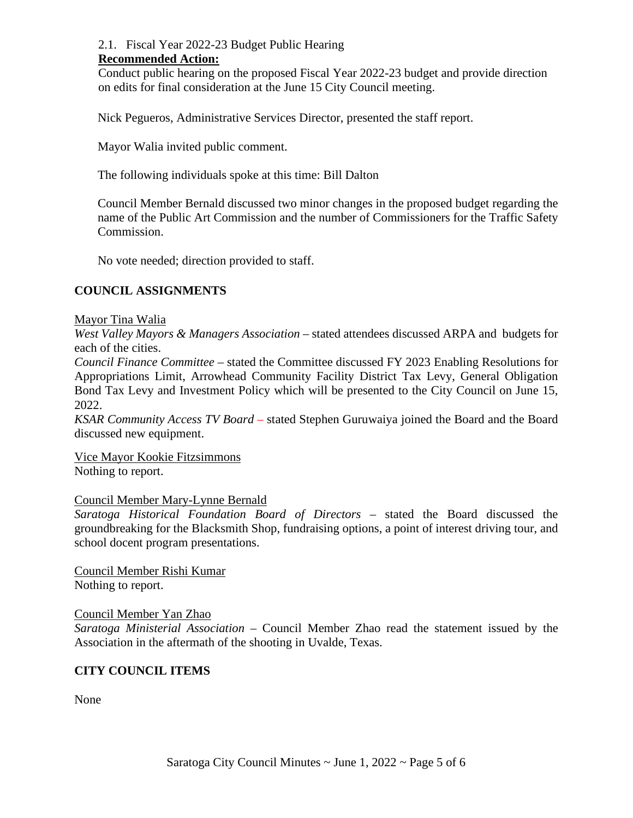#### 2.1. Fiscal Year 2022-23 Budget Public Hearing **Recommended Action:**

Conduct public hearing on the proposed Fiscal Year 2022-23 budget and provide direction on edits for final consideration at the June 15 City Council meeting.

Nick Pegueros, Administrative Services Director, presented the staff report.

Mayor Walia invited public comment.

The following individuals spoke at this time: Bill Dalton

Council Member Bernald discussed two minor changes in the proposed budget regarding the name of the Public Art Commission and the number of Commissioners for the Traffic Safety Commission.

No vote needed; direction provided to staff.

# **COUNCIL ASSIGNMENTS**

# Mayor Tina Walia

*West Valley Mayors & Managers Association* – stated attendees discussed ARPA and budgets for each of the cities.

*Council Finance Committee* – stated the Committee discussed FY 2023 Enabling Resolutions for Appropriations Limit, Arrowhead Community Facility District Tax Levy, General Obligation Bond Tax Levy and Investment Policy which will be presented to the City Council on June 15, 2022.

*KSAR Community Access TV Board* – stated Stephen Guruwaiya joined the Board and the Board discussed new equipment.

Vice Mayor Kookie Fitzsimmons Nothing to report.

# Council Member Mary-Lynne Bernald

*Saratoga Historical Foundation Board of Directors* – stated the Board discussed the groundbreaking for the Blacksmith Shop, fundraising options, a point of interest driving tour, and school docent program presentations.

Council Member Rishi Kumar Nothing to report.

# Council Member Yan Zhao

*Saratoga Ministerial Association* – Council Member Zhao read the statement issued by the Association in the aftermath of the shooting in Uvalde, Texas.

# **CITY COUNCIL ITEMS**

None